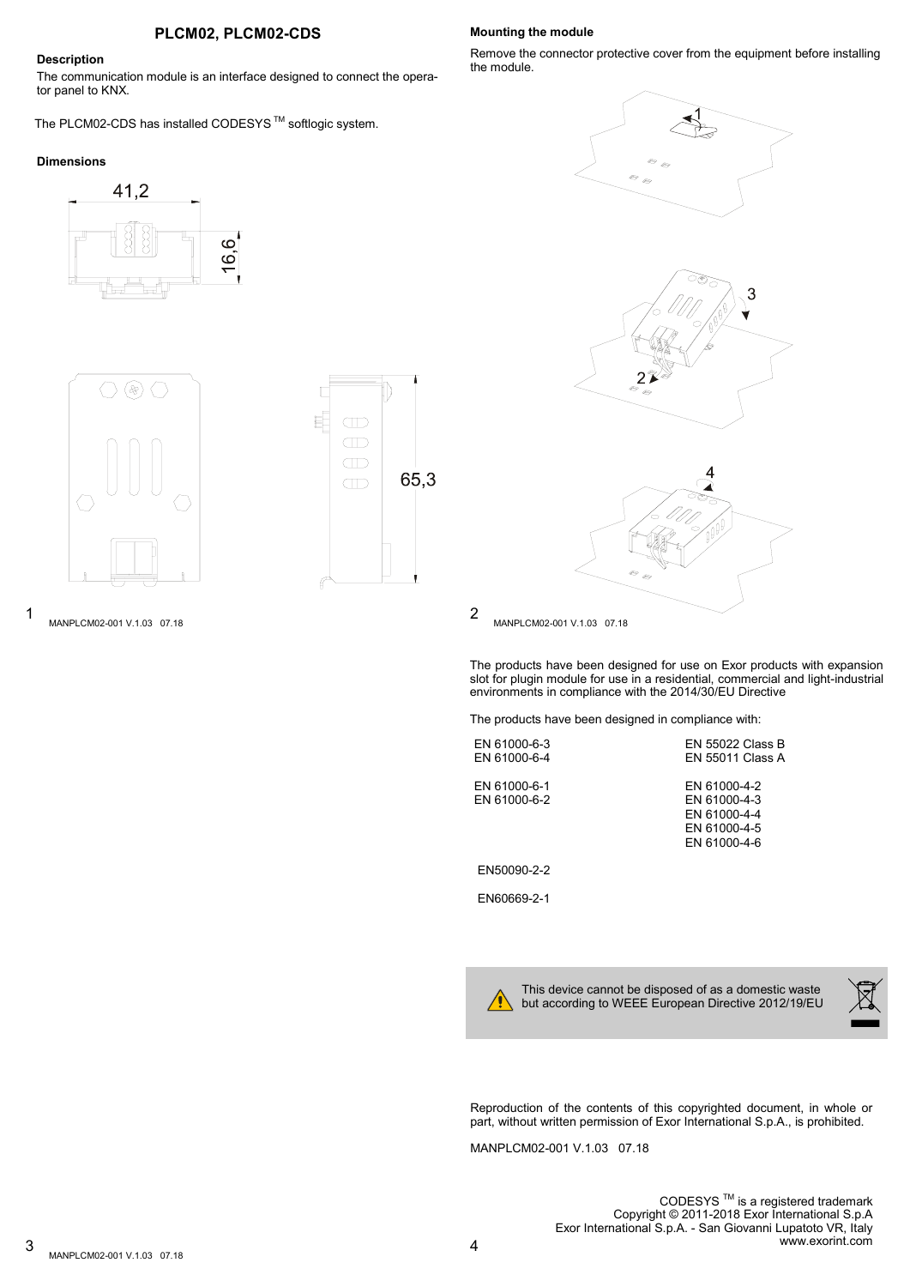# **PLCM02, PLCM02-CDS**

## **Description**

The communication module is an interface designed to connect the operator panel to KNX.

The PLCM02-CDS has installed CODESYS<sup>™</sup> softlogic system.

### **Dimensions**







1 2 MANPLCM02-001 V.1.03 07.18

#### **Mounting the module**

Remove the connector protective cover from the equipment before installing the module.







MANPLCM02-001 V.1.03 07.18

The products have been designed for use on Exor products with expansion slot for plugin module for use in a residential, commercial and light-industrial environments in compliance with the 2014/30/EU Directive

The products have been designed in compliance with:

EN 61000-6-3 EN 55022 Class B<br>EN 61000-6-4 EN 55011 Class A EN 61000-6-1<br>EN 61000-6-2<br>EN 61000-6-2<br>EN 61000-4-3

EN 55011 Class A EN 61000-4-3 EN 61000-4-4 EN 61000-4-5 EN 61000-4-6

EN50090-2-2

EN60669-2-1

This device cannot be disposed of as a domestic waste but according to WEEE European Directive 2012/19/EU



Reproduction of the contents of this copyrighted document, in whole or part, without written permission of Exor International S.p.A., is prohibited.

MANPLCM02-001 V.1.03 07.18

CODESYS<sup>™</sup> is a registered trademark Copyright © 2011-2018 Exor International S.p.A Exor International S.p.A. - San Giovanni Lupatoto VR, Italy www.exorint.com